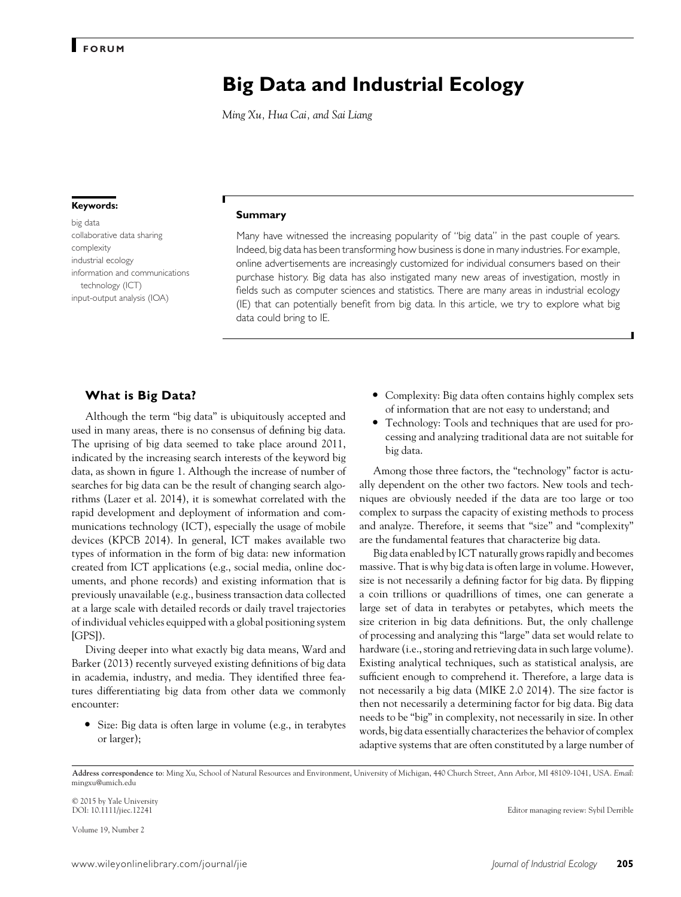# **Big Data and Industrial Ecology**

*Ming Xu, Hua Cai, and Sai Liang*

#### **Keywords:**

big data collaborative data sharing complexity industrial ecology information and communications technology (ICT) input-output analysis (IOA)

#### **Summary**

Many have witnessed the increasing popularity of "big data" in the past couple of years. Indeed, big data has been transforming how business is done in many industries. For example, online adver tisements are increasingly customized for individual consumers based on their purchase history. Big data has also instigated many new areas of investigation, mostly in fields such as computer sciences and statistics. There are many areas in industrial ecology (IE) that can potentially benefit from big data. In this article, we try to explore what big data could bring to IE.

# **What is Big Data?**

Although the term "big data" is ubiquitously accepted and used in many areas, there is no consensus of defining big data. The uprising of big data seemed to take place around 2011, indicated by the increasing search interests of the keyword big data, as shown in figure 1. Although the increase of number of searches for big data can be the result of changing search algorithms (Lazer et al. 2014), it is somewhat correlated with the rapid development and deployment of information and communications technology (ICT), especially the usage of mobile devices (KPCB 2014). In general, ICT makes available two types of information in the form of big data: new information created from ICT applications (e.g., social media, online documents, and phone records) and existing information that is previously unavailable (e.g., business transaction data collected at a large scale with detailed records or daily travel trajectories of individual vehicles equipped with a global positioning system [GPS]).

Diving deeper into what exactly big data means, Ward and Barker (2013) recently surveyed existing definitions of big data in academia, industry, and media. They identified three features differentiating big data from other data we commonly encounter:

- Size: Big data is often large in volume (e.g., in terabytes or larger);

- Complexity: Big data often contains highly complex sets
- of information that are not easy to understand; and<br>• Technology: Tools and techniques that are used for processing and analyzing traditional data are not suitable for big data.

Among those three factors, the "technology" factor is actually dependent on the other two factors. New tools and techniques are obviously needed if the data are too large or too complex to surpass the capacity of existing methods to process and analyze. Therefore, it seems that "size" and "complexity" are the fundamental features that characterize big data.

Big data enabled by ICT naturally grows rapidly and becomes massive. That is why big data is often large in volume. However, size is not necessarily a defining factor for big data. By flipping a coin trillions or quadrillions of times, one can generate a large set of data in terabytes or petabytes, which meets the size criterion in big data definitions. But, the only challenge of processing and analyzing this "large" data set would relate to hardware (i.e., storing and retrieving data in such large volume). Existing analytical techniques, such as statistical analysis, are sufficient enough to comprehend it. Therefore, a large data is not necessarily a big data (MIKE 2.0 2014). The size factor is then not necessarily a determining factor for big data. Big data needs to be "big" in complexity, not necessarily in size. In other words, big data essentially characterizes the behavior of complex adaptive systems that are often constituted by a large number of

© 2015 by Yale University

Volume 19, Number 2

Editor managing review: Sybil Derrible

**Address correspondence to**: Ming Xu, School of Natural Resources and Environment, University of Michigan, 440 Church Street, Ann Arbor, MI 48109-1041, USA. *Email*: mingxu@umich.edu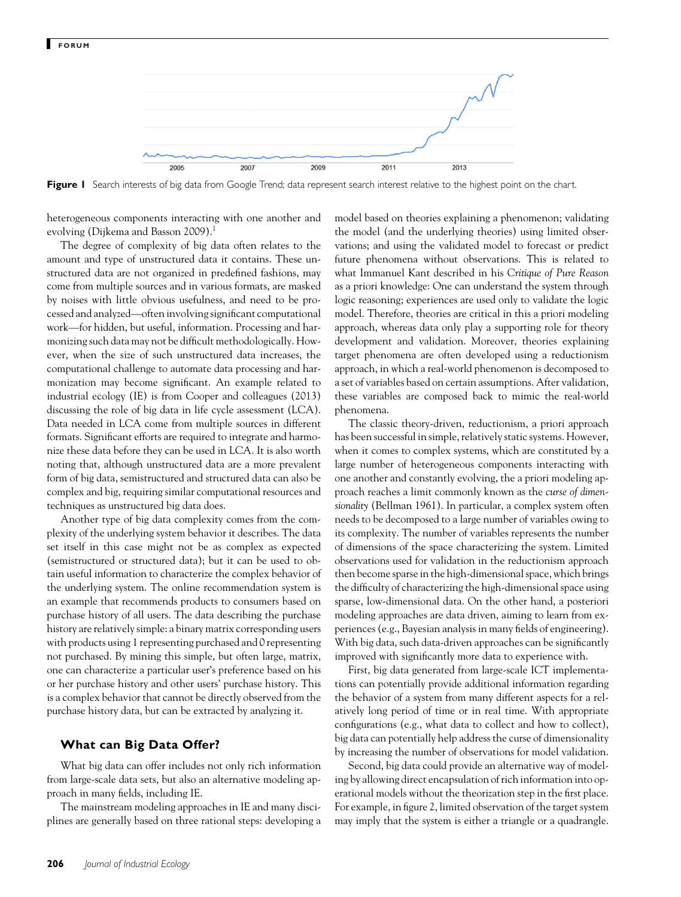

**Figure 1** Search interests of big data from Google Trend; data represent search interest relative to the highest point on the chart.

heterogeneous components interacting with one another and evolving (Dijkema and Basson 2009).<sup>1</sup>

The degree of complexity of big data often relates to the amount and type of unstructured data it contains. These unstructured data are not organized in predefined fashions, may come from multiple sources and in various formats, are masked by noises with little obvious usefulness, and need to be processed and analyzed—often involving significant computational work—for hidden, but useful, information. Processing and harmonizing such data may not be difficult methodologically. However, when the size of such unstructured data increases, the computational challenge to automate data processing and harmonization may become significant. An example related to industrial ecology (IE) is from Cooper and colleagues (2013) discussing the role of big data in life cycle assessment (LCA). Data needed in LCA come from multiple sources in different formats. Significant efforts are required to integrate and harmonize these data before they can be used in LCA. It is also worth noting that, although unstructured data are a more prevalent form of big data, semistructured and structured data can also be complex and big, requiring similar computational resources and techniques as unstructured big data does.

Another type of big data complexity comes from the complexity of the underlying system behavior it describes. The data set itself in this case might not be as complex as expected (semistructured or structured data); but it can be used to obtain useful information to characterize the complex behavior of the underlying system. The online recommendation system is an example that recommends products to consumers based on purchase history of all users. The data describing the purchase history are relatively simple: a binary matrix corresponding users with products using 1 representing purchased and 0 representing not purchased. By mining this simple, but often large, matrix, one can characterize a particular user's preference based on his or her purchase history and other users' purchase history. This is a complex behavior that cannot be directly observed from the purchase history data, but can be extracted by analyzing it.

# **What can Big Data Offer?**

What big data can offer includes not only rich information from large-scale data sets, but also an alternative modeling approach in many fields, including IE.

The mainstream modeling approaches in IE and many disciplines are generally based on three rational steps: developing a model based on theories explaining a phenomenon; validating the model (and the underlying theories) using limited observations; and using the validated model to forecast or predict future phenomena without observations. This is related to what Immanuel Kant described in his *Critique of Pure Reason* as a priori knowledge: One can understand the system through logic reasoning; experiences are used only to validate the logic model. Therefore, theories are critical in this a priori modeling approach, whereas data only play a supporting role for theory development and validation. Moreover, theories explaining target phenomena are often developed using a reductionism approach, in which a real-world phenomenon is decomposed to a set of variables based on certain assumptions. After validation, these variables are composed back to mimic the real-world phenomena.

The classic theory-driven, reductionism, a priori approach has been successful in simple, relatively static systems. However, when it comes to complex systems, which are constituted by a large number of heterogeneous components interacting with one another and constantly evolving, the a priori modeling approach reaches a limit commonly known as the *curse of dimensionality* (Bellman 1961). In particular, a complex system often needs to be decomposed to a large number of variables owing to its complexity. The number of variables represents the number of dimensions of the space characterizing the system. Limited observations used for validation in the reductionism approach then become sparse in the high-dimensional space, which brings the difficulty of characterizing the high-dimensional space using sparse, low-dimensional data. On the other hand, a posteriori modeling approaches are data driven, aiming to learn from experiences (e.g., Bayesian analysis in many fields of engineering). With big data, such data-driven approaches can be significantly improved with significantly more data to experience with.

First, big data generated from large-scale ICT implementations can potentially provide additional information regarding the behavior of a system from many different aspects for a relatively long period of time or in real time. With appropriate configurations (e.g., what data to collect and how to collect), big data can potentially help address the curse of dimensionality by increasing the number of observations for model validation.

Second, big data could provide an alternative way of modeling by allowing direct encapsulation of rich information into operational models without the theorization step in the first place. For example, in figure 2, limited observation of the target system may imply that the system is either a triangle or a quadrangle.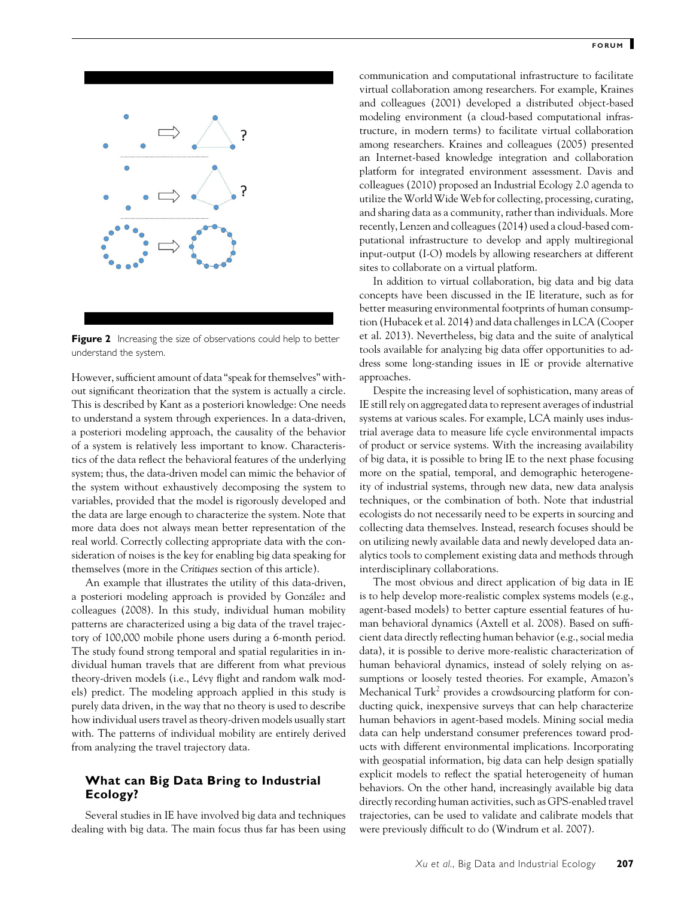

**Figure 2** Increasing the size of observations could help to better understand the system.

However, sufficient amount of data "speak for themselves" without significant theorization that the system is actually a circle. This is described by Kant as a posteriori knowledge: One needs to understand a system through experiences. In a data-driven, a posteriori modeling approach, the causality of the behavior of a system is relatively less important to know. Characteristics of the data reflect the behavioral features of the underlying system; thus, the data-driven model can mimic the behavior of the system without exhaustively decomposing the system to variables, provided that the model is rigorously developed and the data are large enough to characterize the system. Note that more data does not always mean better representation of the real world. Correctly collecting appropriate data with the consideration of noises is the key for enabling big data speaking for themselves (more in the *Critiques* section of this article).

An example that illustrates the utility of this data-driven, a posteriori modeling approach is provided by Gonzalez and ´ colleagues (2008). In this study, individual human mobility patterns are characterized using a big data of the travel trajectory of 100,000 mobile phone users during a 6-month period. The study found strong temporal and spatial regularities in individual human travels that are different from what previous theory-driven models (i.e., Lévy flight and random walk models) predict. The modeling approach applied in this study is purely data driven, in the way that no theory is used to describe how individual users travel as theory-driven models usually start with. The patterns of individual mobility are entirely derived from analyzing the travel trajectory data.

# **What can Big Data Bring to Industrial Ecology?**

Several studies in IE have involved big data and techniques dealing with big data. The main focus thus far has been using communication and computational infrastructure to facilitate virtual collaboration among researchers. For example, Kraines and colleagues (2001) developed a distributed object-based modeling environment (a cloud-based computational infrastructure, in modern terms) to facilitate virtual collaboration among researchers. Kraines and colleagues (2005) presented an Internet-based knowledge integration and collaboration platform for integrated environment assessment. Davis and colleagues (2010) proposed an Industrial Ecology 2.0 agenda to utilize the World Wide Web for collecting, processing, curating, and sharing data as a community, rather than individuals. More recently, Lenzen and colleagues (2014) used a cloud-based computational infrastructure to develop and apply multiregional input-output (I-O) models by allowing researchers at different sites to collaborate on a virtual platform.

In addition to virtual collaboration, big data and big data concepts have been discussed in the IE literature, such as for better measuring environmental footprints of human consumption (Hubacek et al. 2014) and data challenges in LCA (Cooper et al. 2013). Nevertheless, big data and the suite of analytical tools available for analyzing big data offer opportunities to address some long-standing issues in IE or provide alternative approaches.

Despite the increasing level of sophistication, many areas of IE still rely on aggregated data to represent averages of industrial systems at various scales. For example, LCA mainly uses industrial average data to measure life cycle environmental impacts of product or service systems. With the increasing availability of big data, it is possible to bring IE to the next phase focusing more on the spatial, temporal, and demographic heterogeneity of industrial systems, through new data, new data analysis techniques, or the combination of both. Note that industrial ecologists do not necessarily need to be experts in sourcing and collecting data themselves. Instead, research focuses should be on utilizing newly available data and newly developed data analytics tools to complement existing data and methods through interdisciplinary collaborations.

The most obvious and direct application of big data in IE is to help develop more-realistic complex systems models (e.g., agent-based models) to better capture essential features of human behavioral dynamics (Axtell et al. 2008). Based on sufficient data directly reflecting human behavior (e.g., social media data), it is possible to derive more-realistic characterization of human behavioral dynamics, instead of solely relying on assumptions or loosely tested theories. For example, Amazon's Mechanical Turk<sup>2</sup> provides a crowdsourcing platform for conducting quick, inexpensive surveys that can help characterize human behaviors in agent-based models. Mining social media data can help understand consumer preferences toward products with different environmental implications. Incorporating with geospatial information, big data can help design spatially explicit models to reflect the spatial heterogeneity of human behaviors. On the other hand, increasingly available big data directly recording human activities, such as GPS-enabled travel trajectories, can be used to validate and calibrate models that were previously difficult to do (Windrum et al. 2007).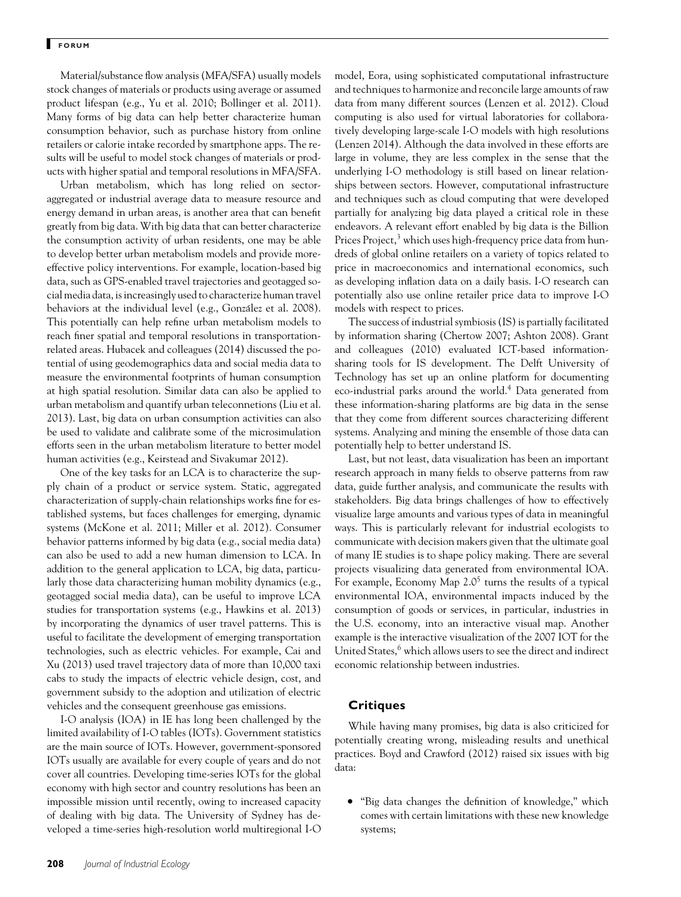#### **FORUM**

Material/substance flow analysis (MFA/SFA) usually models stock changes of materials or products using average or assumed product lifespan (e.g., Yu et al. 2010; Bollinger et al. 2011). Many forms of big data can help better characterize human consumption behavior, such as purchase history from online retailers or calorie intake recorded by smartphone apps. The results will be useful to model stock changes of materials or products with higher spatial and temporal resolutions in MFA/SFA.

Urban metabolism, which has long relied on sectoraggregated or industrial average data to measure resource and energy demand in urban areas, is another area that can benefit greatly from big data. With big data that can better characterize the consumption activity of urban residents, one may be able to develop better urban metabolism models and provide moreeffective policy interventions. For example, location-based big data, such as GPS-enabled travel trajectories and geotagged social media data, is increasingly used to characterize human travel behaviors at the individual level (e.g., González et al. 2008). This potentially can help refine urban metabolism models to reach finer spatial and temporal resolutions in transportationrelated areas. Hubacek and colleagues (2014) discussed the potential of using geodemographics data and social media data to measure the environmental footprints of human consumption at high spatial resolution. Similar data can also be applied to urban metabolism and quantify urban teleconnetions (Liu et al. 2013). Last, big data on urban consumption activities can also be used to validate and calibrate some of the microsimulation efforts seen in the urban metabolism literature to better model human activities (e.g., Keirstead and Sivakumar 2012).

One of the key tasks for an LCA is to characterize the supply chain of a product or service system. Static, aggregated characterization of supply-chain relationships works fine for established systems, but faces challenges for emerging, dynamic systems (McKone et al. 2011; Miller et al. 2012). Consumer behavior patterns informed by big data (e.g., social media data) can also be used to add a new human dimension to LCA. In addition to the general application to LCA, big data, particularly those data characterizing human mobility dynamics (e.g., geotagged social media data), can be useful to improve LCA studies for transportation systems (e.g., Hawkins et al. 2013) by incorporating the dynamics of user travel patterns. This is useful to facilitate the development of emerging transportation technologies, such as electric vehicles. For example, Cai and Xu (2013) used travel trajectory data of more than 10,000 taxi cabs to study the impacts of electric vehicle design, cost, and government subsidy to the adoption and utilization of electric vehicles and the consequent greenhouse gas emissions.

I-O analysis (IOA) in IE has long been challenged by the limited availability of I-O tables (IOTs). Government statistics are the main source of IOTs. However, government-sponsored IOTs usually are available for every couple of years and do not cover all countries. Developing time-series IOTs for the global economy with high sector and country resolutions has been an impossible mission until recently, owing to increased capacity of dealing with big data. The University of Sydney has developed a time-series high-resolution world multiregional I-O model, Eora, using sophisticated computational infrastructure and techniques to harmonize and reconcile large amounts of raw data from many different sources (Lenzen et al. 2012). Cloud computing is also used for virtual laboratories for collaboratively developing large-scale I-O models with high resolutions (Lenzen 2014). Although the data involved in these efforts are large in volume, they are less complex in the sense that the underlying I-O methodology is still based on linear relationships between sectors. However, computational infrastructure and techniques such as cloud computing that were developed partially for analyzing big data played a critical role in these endeavors. A relevant effort enabled by big data is the Billion Prices Project,<sup>3</sup> which uses high-frequency price data from hundreds of global online retailers on a variety of topics related to price in macroeconomics and international economics, such as developing inflation data on a daily basis. I-O research can potentially also use online retailer price data to improve I-O models with respect to prices.

The success of industrial symbiosis (IS) is partially facilitated by information sharing (Chertow 2007; Ashton 2008). Grant and colleagues (2010) evaluated ICT-based informationsharing tools for IS development. The Delft University of Technology has set up an online platform for documenting eco-industrial parks around the world.<sup>4</sup> Data generated from these information-sharing platforms are big data in the sense that they come from different sources characterizing different systems. Analyzing and mining the ensemble of those data can potentially help to better understand IS.

Last, but not least, data visualization has been an important research approach in many fields to observe patterns from raw data, guide further analysis, and communicate the results with stakeholders. Big data brings challenges of how to effectively visualize large amounts and various types of data in meaningful ways. This is particularly relevant for industrial ecologists to communicate with decision makers given that the ultimate goal of many IE studies is to shape policy making. There are several projects visualizing data generated from environmental IOA. For example, Economy Map  $2.0<sup>5</sup>$  turns the results of a typical environmental IOA, environmental impacts induced by the consumption of goods or services, in particular, industries in the U.S. economy, into an interactive visual map. Another example is the interactive visualization of the 2007 IOT for the United States,<sup>6</sup> which allows users to see the direct and indirect economic relationship between industries.

#### **Critiques**

While having many promises, big data is also criticized for potentially creating wrong, misleading results and unethical practices. Boyd and Crawford (2012) raised six issues with big data:

 $\bullet$  "Big data changes the definition of knowledge," which comes with certain limitations with these new knowledge systems;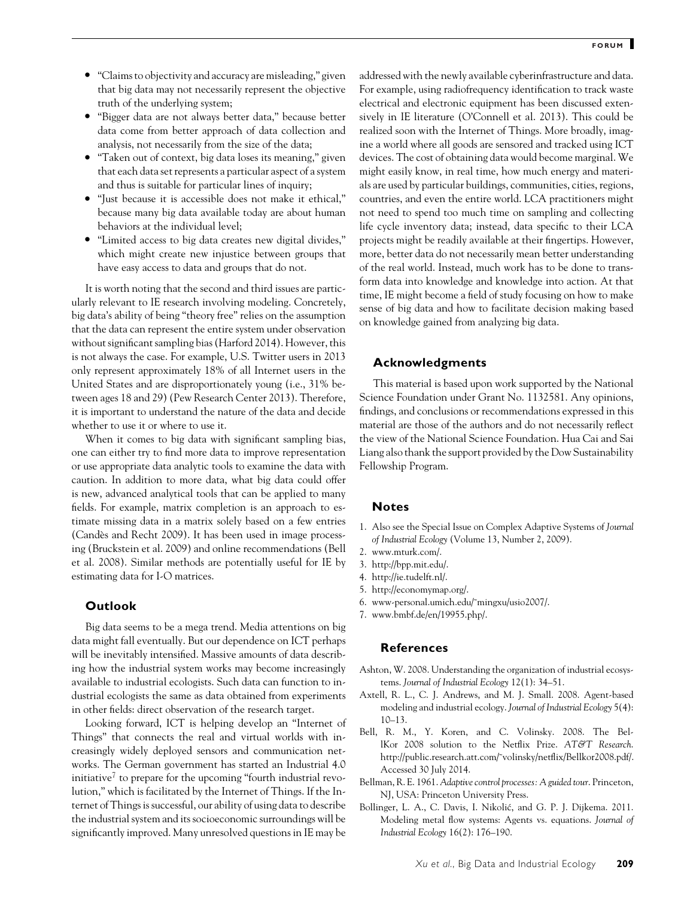- "Claims to objectivity and accuracy are misleading," given that big data may not necessarily represent the objective
- truth of the underlying system;<br>• "Bigger data are not always better data," because better data come from better approach of data collection and analysis, not necessarily from the size of the data; -
- "Taken out of context, big data loses its meaning," given that each data set represents a particular aspect of a system
- and thus is suitable for particular lines of inquiry;<br>• "Just because it is accessible does not make it ethical," because many big data available today are about human
- behaviors at the individual level;<br>• "Limited access to big data creates new digital divides," which might create new injustice between groups that have easy access to data and groups that do not.

It is worth noting that the second and third issues are particularly relevant to IE research involving modeling. Concretely, big data's ability of being "theory free" relies on the assumption that the data can represent the entire system under observation without significant sampling bias (Harford 2014). However, this is not always the case. For example, U.S. Twitter users in 2013 only represent approximately 18% of all Internet users in the United States and are disproportionately young (i.e., 31% between ages 18 and 29) (Pew Research Center 2013). Therefore, it is important to understand the nature of the data and decide whether to use it or where to use it.

When it comes to big data with significant sampling bias, one can either try to find more data to improve representation or use appropriate data analytic tools to examine the data with caution. In addition to more data, what big data could offer is new, advanced analytical tools that can be applied to many fields. For example, matrix completion is an approach to estimate missing data in a matrix solely based on a few entries (Candès and Recht 2009). It has been used in image processing (Bruckstein et al. 2009) and online recommendations (Bell et al. 2008). Similar methods are potentially useful for IE by estimating data for I-O matrices.

# **Outlook**

Big data seems to be a mega trend. Media attentions on big data might fall eventually. But our dependence on ICT perhaps will be inevitably intensified. Massive amounts of data describing how the industrial system works may become increasingly available to industrial ecologists. Such data can function to industrial ecologists the same as data obtained from experiments in other fields: direct observation of the research target.

Looking forward, ICT is helping develop an "Internet of Things" that connects the real and virtual worlds with increasingly widely deployed sensors and communication networks. The German government has started an Industrial 4.0 initiative<sup>7</sup> to prepare for the upcoming "fourth industrial revolution," which is facilitated by the Internet of Things. If the Internet of Things is successful, our ability of using data to describe the industrial system and its socioeconomic surroundings will be significantly improved. Many unresolved questions in IE may be

addressed with the newly available cyberinfrastructure and data. For example, using radiofrequency identification to track waste electrical and electronic equipment has been discussed extensively in IE literature (O'Connell et al. 2013). This could be realized soon with the Internet of Things. More broadly, imagine a world where all goods are sensored and tracked using ICT devices. The cost of obtaining data would become marginal. We might easily know, in real time, how much energy and materials are used by particular buildings, communities, cities, regions, countries, and even the entire world. LCA practitioners might not need to spend too much time on sampling and collecting life cycle inventory data; instead, data specific to their LCA projects might be readily available at their fingertips. However, more, better data do not necessarily mean better understanding of the real world. Instead, much work has to be done to transform data into knowledge and knowledge into action. At that time, IE might become a field of study focusing on how to make sense of big data and how to facilitate decision making based on knowledge gained from analyzing big data.

## **Acknowledgments**

This material is based upon work supported by the National Science Foundation under Grant No. 1132581. Any opinions, findings, and conclusions or recommendations expressed in this material are those of the authors and do not necessarily reflect the view of the National Science Foundation. Hua Cai and Sai Liang also thank the support provided by the Dow Sustainability Fellowship Program.

#### **Notes**

- 1. Also see the Special Issue on Complex Adaptive Systems of *Journal of Industrial Ecology* (Volume 13, Number 2, 2009).
- 2. www.mturk.com/.
- 3. http://bpp.mit.edu/.
- 4. http://ie.tudelft.nl/.
- 5. http://economymap.org/.
- 6. www-personal.umich.edu/˜mingxu/usio2007/.
- 7. www.bmbf.de/en/19955.php/.

#### **References**

- Ashton, W. 2008. Understanding the organization of industrial ecosystems. *Journal of Industrial Ecology* 12(1): 34–51.
- Axtell, R. L., C. J. Andrews, and M. J. Small. 2008. Agent-based modeling and industrial ecology. *Journal of Industrial Ecology* 5(4): 10–13.
- Bell, R. M., Y. Koren, and C. Volinsky. 2008. The BellKor 2008 solution to the Netflix Prize. *AT&T Research*. http://public.research.att.com/˜volinsky/netflix/Bellkor2008.pdf/. Accessed 30 July 2014.
- Bellman, R. E. 1961. *Adaptive control processes: A guided tour*. Princeton, NJ, USA: Princeton University Press.
- Bollinger, L. A., C. Davis, I. Nikolić, and G. P. J. Dijkema. 2011. Modeling metal flow systems: Agents vs. equations. *Journal of Industrial Ecology* 16(2): 176–190.